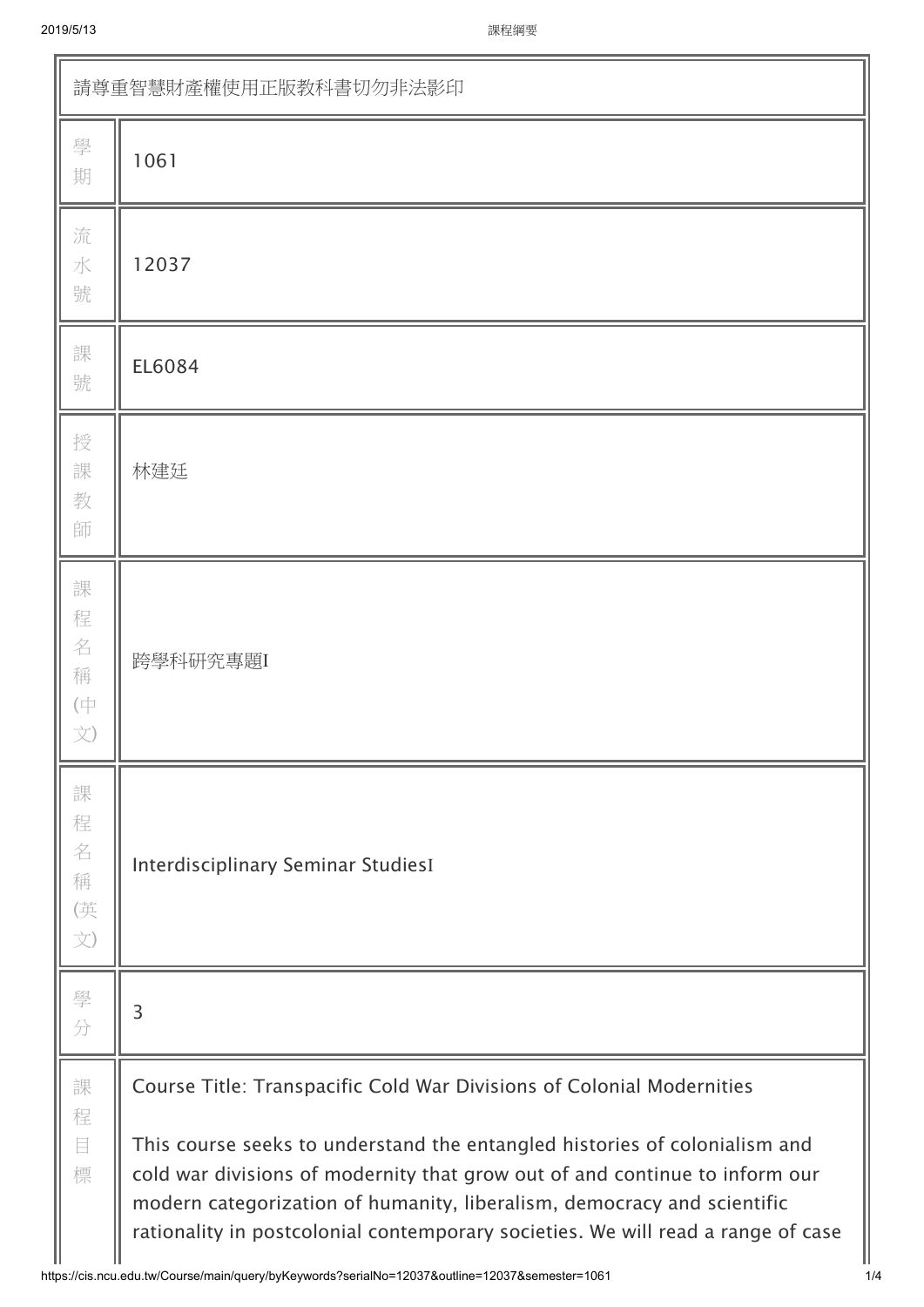| 請尊重智慧財產權使用正版教科書切勿非法影印                             |                                                                                                                                                                                                                                                                                                                                                                                                   |  |  |  |
|---------------------------------------------------|---------------------------------------------------------------------------------------------------------------------------------------------------------------------------------------------------------------------------------------------------------------------------------------------------------------------------------------------------------------------------------------------------|--|--|--|
| 學<br>期                                            | 1061                                                                                                                                                                                                                                                                                                                                                                                              |  |  |  |
| 流<br>水<br>號                                       | 12037                                                                                                                                                                                                                                                                                                                                                                                             |  |  |  |
| 課<br>號                                            | EL6084                                                                                                                                                                                                                                                                                                                                                                                            |  |  |  |
| 授<br>課<br>教<br>師                                  | 林建廷                                                                                                                                                                                                                                                                                                                                                                                               |  |  |  |
| 課<br>程<br>名<br>稱<br>$(\dagger$<br>文)              | 跨學科研究專題I                                                                                                                                                                                                                                                                                                                                                                                          |  |  |  |
| 課<br>程<br>名<br>稱<br>(英<br>$\overrightarrow{\chi}$ | Interdisciplinary Seminar StudiesI                                                                                                                                                                                                                                                                                                                                                                |  |  |  |
| 學<br>分                                            | 3                                                                                                                                                                                                                                                                                                                                                                                                 |  |  |  |
| 課<br>程<br>目<br>標                                  | Course Title: Transpacific Cold War Divisions of Colonial Modernities<br>This course seeks to understand the entangled histories of colonialism and<br>cold war divisions of modernity that grow out of and continue to inform our<br>modern categorization of humanity, liberalism, democracy and scientific<br>rationality in postcolonial contemporary societies. We will read a range of case |  |  |  |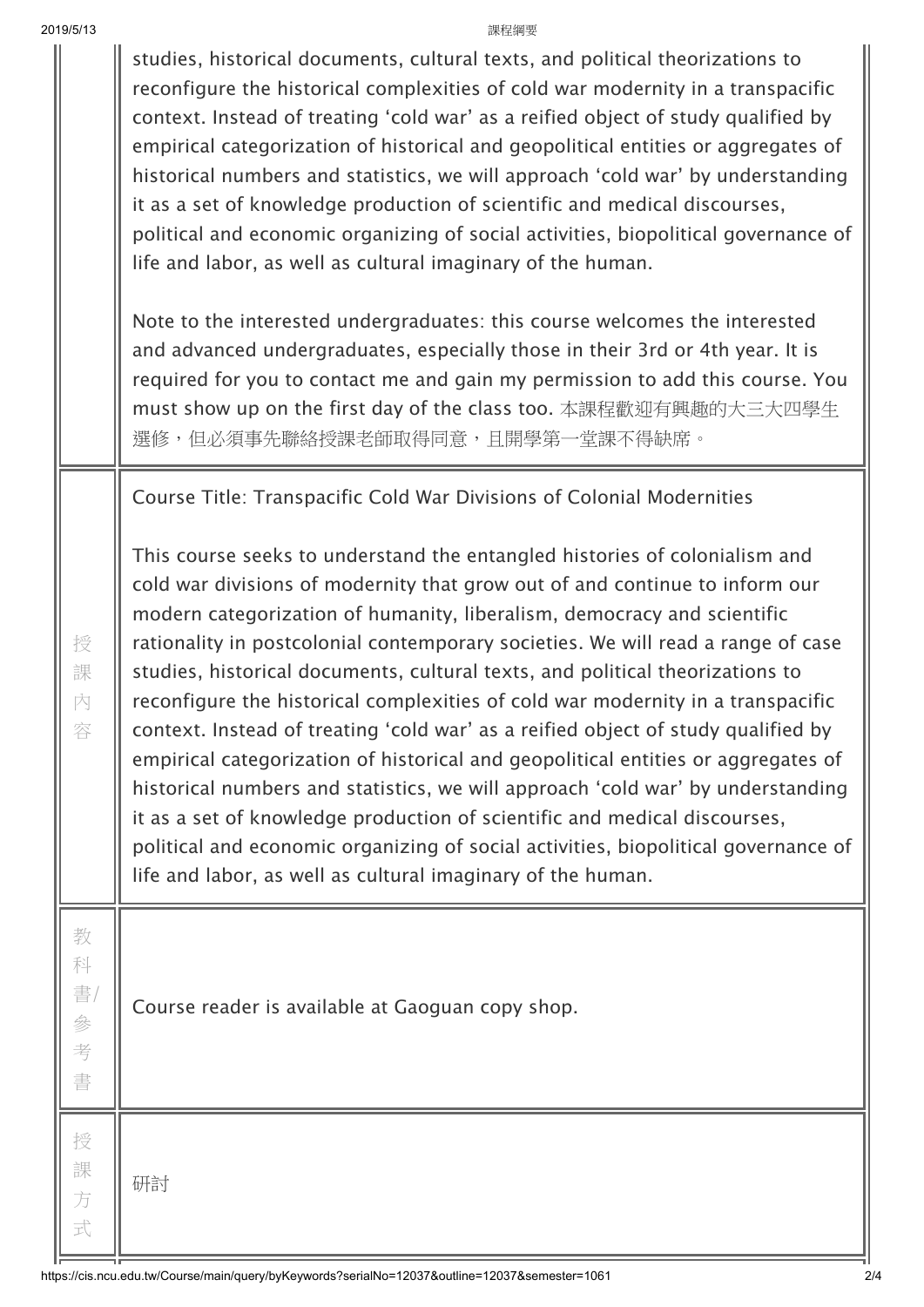| 2019/5/13                   | 課程綱要                                                                                                                                                                                                                                                                                                                                                                                                                                                                                                                                                                                                                                                                                                                                                                                                                                                                                                                                                                                        |
|-----------------------------|---------------------------------------------------------------------------------------------------------------------------------------------------------------------------------------------------------------------------------------------------------------------------------------------------------------------------------------------------------------------------------------------------------------------------------------------------------------------------------------------------------------------------------------------------------------------------------------------------------------------------------------------------------------------------------------------------------------------------------------------------------------------------------------------------------------------------------------------------------------------------------------------------------------------------------------------------------------------------------------------|
|                             | studies, historical documents, cultural texts, and political theorizations to<br>reconfigure the historical complexities of cold war modernity in a transpacific<br>context. Instead of treating 'cold war' as a reified object of study qualified by<br>empirical categorization of historical and geopolitical entities or aggregates of<br>historical numbers and statistics, we will approach 'cold war' by understanding<br>it as a set of knowledge production of scientific and medical discourses,<br>political and economic organizing of social activities, biopolitical governance of<br>life and labor, as well as cultural imaginary of the human.                                                                                                                                                                                                                                                                                                                             |
|                             | Note to the interested undergraduates: this course welcomes the interested<br>and advanced undergraduates, especially those in their 3rd or 4th year. It is<br>required for you to contact me and gain my permission to add this course. You<br>must show up on the first day of the class too. 本課程歡迎有興趣的大三大四學生<br>選修,但必須事先聯絡授課老師取得同意,且開學第一堂課不得缺席。                                                                                                                                                                                                                                                                                                                                                                                                                                                                                                                                                                                                                                          |
|                             | Course Title: Transpacific Cold War Divisions of Colonial Modernities                                                                                                                                                                                                                                                                                                                                                                                                                                                                                                                                                                                                                                                                                                                                                                                                                                                                                                                       |
| 授<br>課<br>內<br>容            | This course seeks to understand the entangled histories of colonialism and<br>cold war divisions of modernity that grow out of and continue to inform our<br>modern categorization of humanity, liberalism, democracy and scientific<br>rationality in postcolonial contemporary societies. We will read a range of case<br>studies, historical documents, cultural texts, and political theorizations to<br>reconfigure the historical complexities of cold war modernity in a transpacific<br>context. Instead of treating 'cold war' as a reified object of study qualified by<br>empirical categorization of historical and geopolitical entities or aggregates of<br>historical numbers and statistics, we will approach 'cold war' by understanding<br>it as a set of knowledge production of scientific and medical discourses,<br>political and economic organizing of social activities, biopolitical governance of<br>life and labor, as well as cultural imaginary of the human. |
| 教<br>科<br>書/<br>參<br>考<br>書 | Course reader is available at Gaoguan copy shop.                                                                                                                                                                                                                                                                                                                                                                                                                                                                                                                                                                                                                                                                                                                                                                                                                                                                                                                                            |
| 授<br>課<br>方<br>式            | 研討                                                                                                                                                                                                                                                                                                                                                                                                                                                                                                                                                                                                                                                                                                                                                                                                                                                                                                                                                                                          |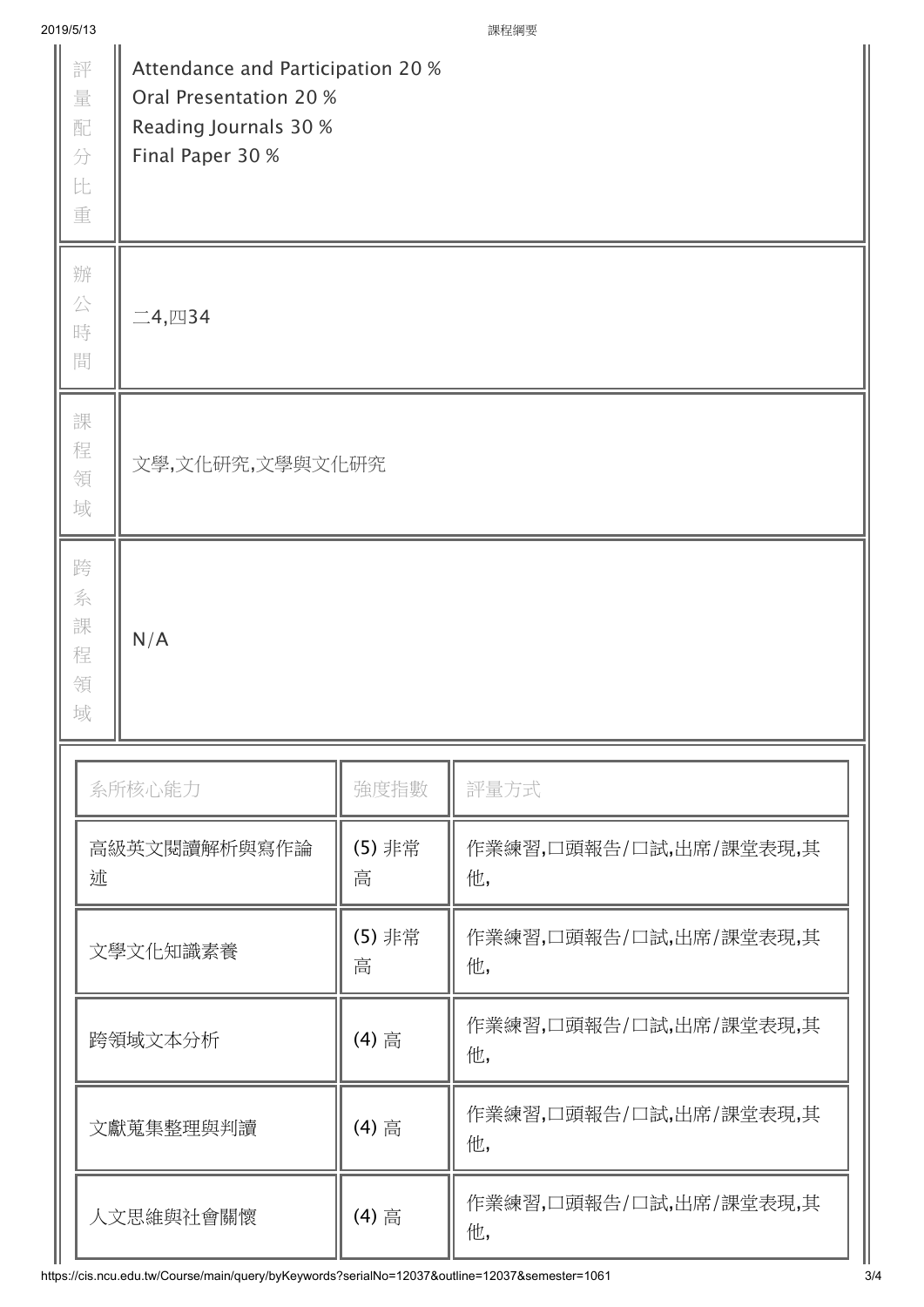| 2019/5/13                             |                                                                                                          |             | 課程綱要                         |  |  |  |
|---------------------------------------|----------------------------------------------------------------------------------------------------------|-------------|------------------------------|--|--|--|
| 評<br>量<br>配<br>分<br>$\mathbb{H}$<br>重 | Attendance and Participation 20 %<br>Oral Presentation 20 %<br>Reading Journals 30 %<br>Final Paper 30 % |             |                              |  |  |  |
| 辦<br>公<br>時<br>間                      | $\Box$ 4, $\Box$ 34                                                                                      |             |                              |  |  |  |
| 課<br>程<br>領<br>域                      | 文學,文化研究,文學與文化研究                                                                                          |             |                              |  |  |  |
| 跨<br>系<br>課<br>N/A<br>程<br>領<br>域     |                                                                                                          |             |                              |  |  |  |
|                                       | 系所核心能力                                                                                                   | 強度指數        | 評量方式                         |  |  |  |
| 高級英文閱讀解析與寫作論<br>述                     |                                                                                                          | (5) 非常<br>高 | 作業練習,口頭報告/口試,出席/課堂表現,其<br>他, |  |  |  |
| 文學文化知識素養                              |                                                                                                          | (5) 非常<br>高 | 作業練習,口頭報告/口試,出席/課堂表現,其<br>他, |  |  |  |
| 跨領域文本分析                               |                                                                                                          | (4) 高       | 作業練習,口頭報告/口試,出席/課堂表現,其<br>他, |  |  |  |
|                                       | 文獻蒐集整理與判讀                                                                                                | (4) 高       | 作業練習,口頭報告/口試,出席/課堂表現,其<br>他, |  |  |  |
|                                       | 人文思維與社會關懷                                                                                                | (4) 高       | 作業練習,口頭報告/口試,出席/課堂表現,其<br>他, |  |  |  |